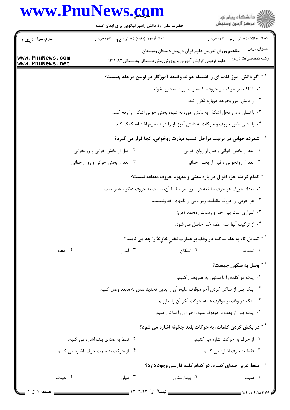|                                    | www.PnuNews.com<br>حضرت علی(ع): دانش راهبر نیکویی برای ایمان است |                                                                                                                                | ڪ دانشڪاه پيام نور<br>پ <sup>ر</sup> مرڪز آزمون وسنڊش |
|------------------------------------|------------------------------------------------------------------|--------------------------------------------------------------------------------------------------------------------------------|-------------------------------------------------------|
| سري سوال : يک ۱                    | زمان أزمون (دقيقه) : تستي : <sub>۴۵</sub> تشريحي : .             |                                                                                                                                | تعداد سوالات : تستي : ٩. تشريحي : .                   |
| www.PnuNews.com<br>www.PnuNews.net |                                                                  | <sup>:</sup> مفاهیم وروش تدریس علوم قرآن درپیش دبستان ودبستان<br>` علوم تربیتی گرایش آموزش و پرورش پیش دبستانی ودبستانی۸۳۱۱۰۸۳ | عنــوان درس<br>رشته تحصيلي/كد درس                     |
|                                    |                                                                  | <sup>۱ -</sup> اگر دانش آموز کلمه ای را اشتباه خواند وظیفه آموزگار در اولین مرحله چیست؟                                        |                                                       |
|                                    |                                                                  | ۰۱ با تاکید بر حرکات و حروف، کلمه را بصورت صحیح بخواند                                                                         |                                                       |
|                                    |                                                                  |                                                                                                                                | ۰۲ از دانش آموز بخواهد دوباره تکرار کند.              |
|                                    |                                                                  | ۰۳ با نشان دادن محل اشکال به دانش آموز، به شیوه بخش خوانی اشکال را رفع کند.                                                    |                                                       |
|                                    |                                                                  | ۰۴ با نشان دادن حروف و حرکات به دانش آموز، او را در تصحیح اشتباه، کمک کند.                                                     |                                                       |
|                                    |                                                                  | <sup>۲ -</sup> شمرده خوانی در ترتیب مراحل کسب مهارت روخوانی، کجا قرار می گیرد؟                                                 |                                                       |
|                                    | ۰۲ قبل از بخش خوانی و روانخوانی                                  | ٠١ بعد از بخش خواني و قبل از روان خواني                                                                                        |                                                       |
|                                    | ۰۴ بعد از بخش خوانی و روان خوانی                                 |                                                                                                                                | ۰۳ بعد از روانخوانی و قبل از بخش خوانی                |
|                                    |                                                                  | <sup>۳ -</sup> کدام گزینه جزء اقوال در باره معنی و مفهوم حروف مقطعه نیست؟                                                      |                                                       |
|                                    |                                                                  | ۰۱ تعداد حروف هر حرف مقطعه در سوره مرتبط با آن، نسبت به حروف دیگر بیشتر است.                                                   |                                                       |
|                                    |                                                                  | ۰۲ هر حرفی از حروف مقطعه، رمز نامی از نامهای خداوندست.                                                                         |                                                       |
|                                    |                                                                  | ۰۳ اسراری است بین خدا و رسولش محمد (ص)                                                                                         |                                                       |
|                                    |                                                                  | ۴. از تركيب آنها اسم اعظم خدا حاصل مي شود.                                                                                     |                                                       |
|                                    |                                                                  | <sup>۴ -</sup> تبدیل تاء به هاء ساکنه در وقف بر عبارت نَخلِ خاوِیَهٌ را چه می نامند؟                                           |                                                       |
| ۰۴ ادغام                           | ۰۳ ابدال                                                         | ۰۲ اسکان                                                                                                                       | ۰۱ تشدید                                              |
|                                    |                                                                  |                                                                                                                                | <sup>۵ -</sup> وصل به سکون چیست؟                      |
|                                    |                                                                  | ٠١ اينكه دو كلمه را با سكون به هم وصل كنيم.                                                                                    |                                                       |
|                                    |                                                                  | ٠٢ اينكه پس از ساكن كردن آخر موقوف عليه، آن را بدون تجديد نفس به مابعد وصل كنيم.                                               |                                                       |
|                                    |                                                                  | ۰۳ اینکه در وقف بر موقوف علیه، حرکت آخر آن را بیاوریم.                                                                         |                                                       |
|                                    |                                                                  | ۰۴ اینکه پس از وقف بر موقوف علیه، آخر آن را ساکن کنیم.                                                                         |                                                       |
|                                    |                                                                  | ٔ <sup>۶ -</sup> در بخش کردن کلمات، به حرکات بلند چگونه اشاره می شود؟                                                          |                                                       |
| ۲. فقط به صدای بلند اشاره می کنیم. |                                                                  |                                                                                                                                | ۰۱ از حرف به حرکت اشاره می کنیم.                      |
|                                    | ۰۴ از حرکت به سمت حرف، اشاره می کنیم.                            |                                                                                                                                | ۰۳ فقط به حرف اشاره می کنیم.                          |
|                                    |                                                                  | $^{\circ}$ تلفظ عربی صدای کسره، در کدام کلمه فارسی وجود دارد $^{\circ}$                                                        |                                                       |
| ۰۴ عینک                            | ۰۳ میان                                                          | ۰۲ بیمارستان                                                                                                                   | ۰۱ سیب                                                |
| صفحه ١ أن ٢                        |                                                                  |                                                                                                                                |                                                       |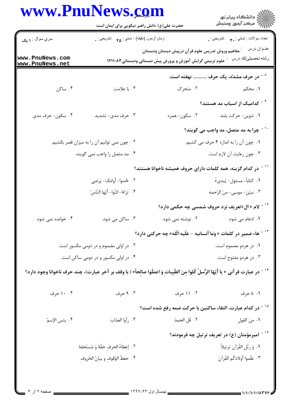|                                       | حضرت علی(ع): دانش راهبر نیکویی برای ایمان است                                                                                                     |                                                                                 | ڪ دانشڪاه پيام نور<br>//> مرڪز آزمون وسنڊش                 |
|---------------------------------------|---------------------------------------------------------------------------------------------------------------------------------------------------|---------------------------------------------------------------------------------|------------------------------------------------------------|
| سري سوال : <b>۱ يک</b>                | زمان أزمون (دقيقه) : تستي : <sub>۴۵</sub> تشريحي : <sub>.</sub>                                                                                   |                                                                                 | تعداد سوالات : تستبي : ٣ <b>. س</b> تشريحي : .             |
|                                       |                                                                                                                                                   | مفاهيم وروش تدريس علوم قرآن درپيش دبستان ودبستان                                | عنــوان درس                                                |
| www.PnuNews.com<br>www.PnuNews.net    |                                                                                                                                                   | علوم تربیتی گرایش آموزش و پرورش پیش دبستانی ودبستانی۸۳۱۱۰۸۳                     | رشته تحصيلي/كد درس                                         |
|                                       |                                                                                                                                                   |                                                                                 | <sup>^ -</sup> در حرف مشدّد، یک حرف  نهقته است.            |
| ۰۴ ساکن                               | ۰۳ با علامت                                                                                                                                       |                                                                                 | ا. محکم متحرک است است ک                                    |
|                                       |                                                                                                                                                   |                                                                                 | <sup>۹ -</sup> کدامیک از اسباب مد هستند؟                   |
| ۰۴ سکون- حرف مدی                      | ۰۳ حرف مدی- تشدید                                                                                                                                 | ۰۲ سکون- همزه                                                                   | ۰۱ تنوین- حرکت بلند                                        |
|                                       |                                                                                                                                                   |                                                                                 | <sup>۱۰ -</sup> چرا به مد متصل، مد واجب می گویند؟          |
|                                       | ۰۲ چون نمی توانیم آن را به میزان قصر بکشیم.                                                                                                       |                                                                                 | ١. چون آن را به اندازه ۴ حرف مي كشيم.                      |
|                                       | ۰۴ مد متصل را واجب نمی گویند.                                                                                                                     |                                                                                 | ۰۳ چون رعایت آن لازم است.                                  |
|                                       |                                                                                                                                                   | <sup>۱۱ -</sup> در کدام گزینه، همه کلمات دارای حروف همیشه ناخوانا هستند؟        |                                                            |
|                                       | ٢.   ،امنوا- أولئكَ- يَرضى                                                                                                                        |                                                                                 | ١. كتاباً- مسئول- يُبدِيءُ                                 |
|                                       | ۴. تَراءا- ائتُوا- أيّها النّاسُ                                                                                                                  |                                                                                 | ۰۳ نبيّنَ- موسى- منَ الرّحمه                               |
|                                       |                                                                                                                                                   |                                                                                 | <sup>۱۲ -</sup> لام « ال»تعریف نزد حروف شمسی چه حکمی دارد؟ |
| ۰۴ خوانده نمی شود.                    | ۰۳ ساکن می شود.                                                                                                                                   | ۰۲ نوشته نمی شود.                                                               | ۰۱ ادغام می شود.                                           |
|                                       |                                                                                                                                                   | <sup>۱۳ -</sup> هاء ضمیر در کلمات « وَما أنسانیه - عَلَیه الّله» چه حرکتی دارد؟ |                                                            |
| ۰۲ در اولی مضموم و در دومی مکسور است. |                                                                                                                                                   | ۰۱ در هردو مضموم است.                                                           |                                                            |
|                                       | ۰۴ در اولی مکسور و در دومی ساکن است.                                                                                                              | ۰۳ در هردو مفتوح است.                                                           |                                                            |
|                                       | <sup>١۴ -</sup> در عبارت قرآنى « يا أيّهَا الرُّسلُ كُلوا مِنَ الطّيِباتِ وَ اعمَلُوا صالِحاً» ( با وقف بر آخر عبارت)، چند حرف ناخوانا وجود دارد؟ |                                                                                 |                                                            |
| ۰۰ ۱۰ حرف                             | ۰۳ جرف                                                                                                                                            | ۰۲ ۱۱ حرف                                                                       | ۰۱ ۸ حرف                                                   |
|                                       |                                                                                                                                                   | <sup>۱۵ -</sup> در کدام عبارت، التقاء ساکنین با حرکت ضمه رفع شده است؟           |                                                            |
| ۴. بئس الإسمُ                         | ٠٣ رأوا العذابَ                                                                                                                                   | ٠٢ قُل الحمدُ                                                                   | ٠١ من القولِ                                               |
|                                       |                                                                                                                                                   |                                                                                 | <sup>۱۶ -</sup> امیرمؤمنان (ع) در تعریف ترتیل چه فرمودند؟  |
| ٢. إعطاءُ الحرفِ حَقّهُ وَ مُستَحقهُ  |                                                                                                                                                   |                                                                                 | ٠١ وَرتَّلِ القُرآنَ ترتيلاً                               |
| ۰۴ حفظُ الوُقوف و بيانُ الحُروفِ      |                                                                                                                                                   |                                                                                 | ٠٣ عَلَموا أولادَكُم القُرآنَ                              |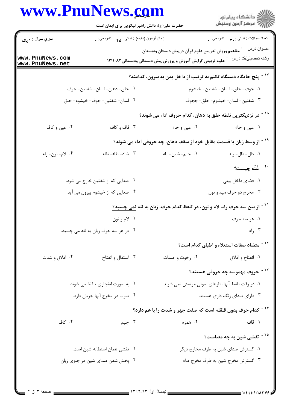|                                    | حضرت علی(ع): دانش راهبر نیکویی برای ایمان است       |                                                                                                                 | ≦ دانشڪاه پيام نور<br>√ مرڪز آزمون وسنڊش             |
|------------------------------------|-----------------------------------------------------|-----------------------------------------------------------------------------------------------------------------|------------------------------------------------------|
| سري سوال : ۱ يک                    | زمان أزمون (دقيقه) : تستى : ۴۵ $\bullet$ تشريحي : . |                                                                                                                 | تعداد سوالات : تستي : ٣. تشريحي : .                  |
| www.PnuNews.com<br>www.PnuNews.net |                                                     | مفاهيم وروش تدريس علوم قرآن درپيش دبستان ودبستان<br>علوم تربیتی گرایش آموزش و پرورش پیش دبستانی ودبستانی۸۳۱۱۰۸۳ | عنــوان درس<br>رشته تحصيلي/كد درس                    |
|                                    |                                                     | ینج جایگاه دستگاه تکلم به ترتیب از داخل بدن به بیرون، کدامند؟ $^{\vee}$                                         |                                                      |
|                                    | ٠٢ حلق- دهان- لسان- شفتين- جوف                      |                                                                                                                 | ٠١ جوف- حلق- لسان- شفتين- خيشوم                      |
|                                    | ۰۴ لسان- شفتين- جوف- خيشوم- حلق                     | ۰۳ شفتين- لسان- خيشوم- حلق- ججوف                                                                                |                                                      |
|                                    |                                                     | <sup>۱۸ -</sup> در نزدیکترین نقطه حلق به دهان، کدام حروف اداء می شوند؟                                          |                                                      |
| ۰۴ غین و کاف                       | ۰۳ قاف و کاف                                        | ۰۲ غین و خاء                                                                                                    | ۰۱ عین و حاء                                         |
|                                    |                                                     | <sup>۱۹ -</sup> از وسط زبان با قسمت مقابل خود از سقف دهان، چه حروفی اداء می شوند؟                               |                                                      |
| ۰۴ لام-نون- راء                    | ۰۳ ضاد- طاء- ظاء                                    | ٢. جيم-شين- ياء                                                                                                 | ٠١ دال- ذال- راء                                     |
|                                    |                                                     |                                                                                                                 | <sup>۲۰ -</sup> غُنّه چیست؟                          |
|                                    | ۰۲ صدایی که از شفتین خارج می شود.                   |                                                                                                                 | ٠١. فضاى داخل بينى                                   |
|                                    | ۰۴ صدایی که از خیشوم بیرون می آید.                  |                                                                                                                 | ۰۳ مخرج دو حرف میم و نون                             |
|                                    |                                                     | <sup>۲۱ -</sup> از بین سه حرف راء، لام و نون، در تلفظ کدام حرف، زبان به لثه <u>نمی چسبد؟</u>                    |                                                      |
|                                    | ۰۲ لام و نون                                        |                                                                                                                 | ۰۱ هر سه حرف                                         |
|                                    | ۰۴ در هر سه حرف زبان به لثه می چسبد.                |                                                                                                                 | $ e $ , $\mathcal{F}$                                |
|                                    |                                                     |                                                                                                                 | <sup>۲۲ -</sup> متضاد صفات استعلاء و اطباق کدام است؟ |
| ۰۴ اذلاق و شدت                     | ۰۳ استفال و انفتاح                                  | ٠٢ رخوت و اصمات                                                                                                 | ۰۱ انفتاح و اذلاق                                    |
|                                    |                                                     |                                                                                                                 | <sup>۲۳ -</sup> حروف مهموسه چه حروفی هستند؟          |
|                                    | ۰۲ به صورت انفجاری تلفظ می شوند                     | ۰۱ در وقت تلفظ آنها، تارهای صوتی مرتعش نمی شوند                                                                 |                                                      |
| ۰۴ صوت در مخرج آنها جريان دارد.    |                                                     |                                                                                                                 | ۰۳ دارای صدای زنگ داری هستند.                        |
|                                    |                                                     | <sup>۲۴ -</sup> کدام حرف بدون قلقله است که صفت جهر و شدت را با هم دارد؟                                         |                                                      |
| ۰۴ کاف                             | ۰۳ جیم                                              | ۰۲ همزه                                                                                                         | ۰۱ قاف                                               |
|                                    |                                                     |                                                                                                                 | $^8$ <sup>۲۵ -</sup> تفشی شین به چه معناست $^8$      |
|                                    | ۰۲ تفشی همان استطاله شین است.                       |                                                                                                                 | ۰۱ گسترش صدای شین به طرف مخارج دیگر                  |
|                                    | ۰۴ پخش شدن صدای شین در جلوی زبان                    |                                                                                                                 | ۰۳ گسترش مخرج شین به طرف مخرج طاء                    |